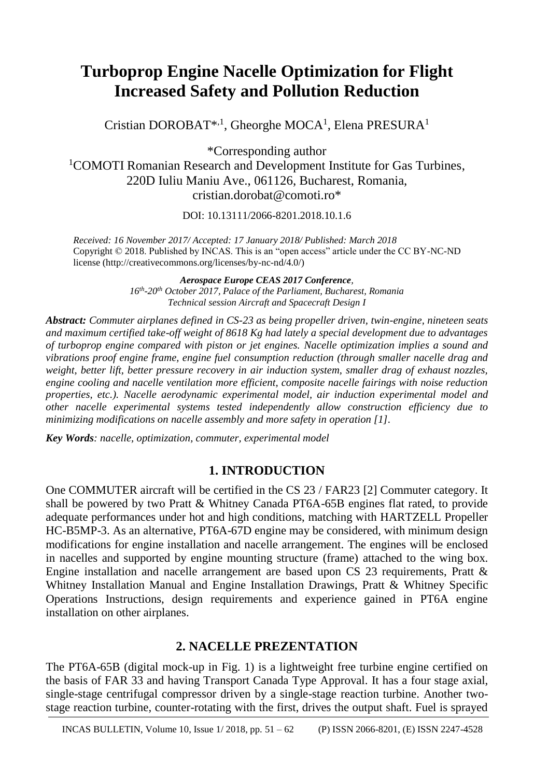# **Turboprop Engine Nacelle Optimization for Flight Increased Safety and Pollution Reduction**

Cristian DOROBAT<sup>\*,1</sup>, Gheorghe MOCA<sup>1</sup>, Elena PRESURA<sup>1</sup>

\*Corresponding author

<sup>1</sup>COMOTI Romanian Research and Development Institute for Gas Turbines, 220D Iuliu Maniu Ave., 061126, Bucharest, Romania, cristian.dorobat@comoti.ro\*

DOI: 10.13111/2066-8201.2018.10.1.6

*Received: 16 November 2017/ Accepted: 17 January 2018/ Published: March 2018* Copyright © 2018. Published by INCAS. This is an "open access" article under the CC BY-NC-ND license (http://creativecommons.org/licenses/by-nc-nd/4.0/)

*Aerospace Europe CEAS 2017 Conference,* 

*16th -20th October 2017, Palace of the Parliament, Bucharest, Romania Technical session Aircraft and Spacecraft Design I*

*Abstract: Commuter airplanes defined in CS-23 as being propeller driven, twin-engine, nineteen seats and maximum certified take-off weight of 8618 Kg had lately a special development due to advantages of turboprop engine compared with piston or jet engines. Nacelle optimization implies a sound and vibrations proof engine frame, engine fuel consumption reduction (through smaller nacelle drag and weight, better lift, better pressure recovery in air induction system, smaller drag of exhaust nozzles, engine cooling and nacelle ventilation more efficient, composite nacelle fairings with noise reduction properties, etc.). Nacelle aerodynamic experimental model, air induction experimental model and other nacelle experimental systems tested independently allow construction efficiency due to minimizing modifications on nacelle assembly and more safety in operation [1].*

*Key Words: nacelle, optimization, commuter, experimental model*

## **1. INTRODUCTION**

One COMMUTER aircraft will be certified in the CS 23 / FAR23 [2] Commuter category. It shall be powered by two Pratt & Whitney Canada PT6A-65B engines flat rated, to provide adequate performances under hot and high conditions, matching with HARTZELL Propeller HC-B5MP-3. As an alternative, PT6A-67D engine may be considered, with minimum design modifications for engine installation and nacelle arrangement. The engines will be enclosed in nacelles and supported by engine mounting structure (frame) attached to the wing box. Engine installation and nacelle arrangement are based upon CS 23 requirements, Pratt  $\&$ Whitney Installation Manual and Engine Installation Drawings, Pratt & Whitney Specific Operations Instructions, design requirements and experience gained in PT6A engine installation on other airplanes.

## **2. NACELLE PREZENTATION**

The PT6A-65B (digital mock-up in Fig. 1) is a lightweight free turbine engine certified on the basis of FAR 33 and having Transport Canada Type Approval. It has a four stage axial, single-stage centrifugal compressor driven by a single-stage reaction turbine. Another twostage reaction turbine, counter-rotating with the first, drives the output shaft. Fuel is sprayed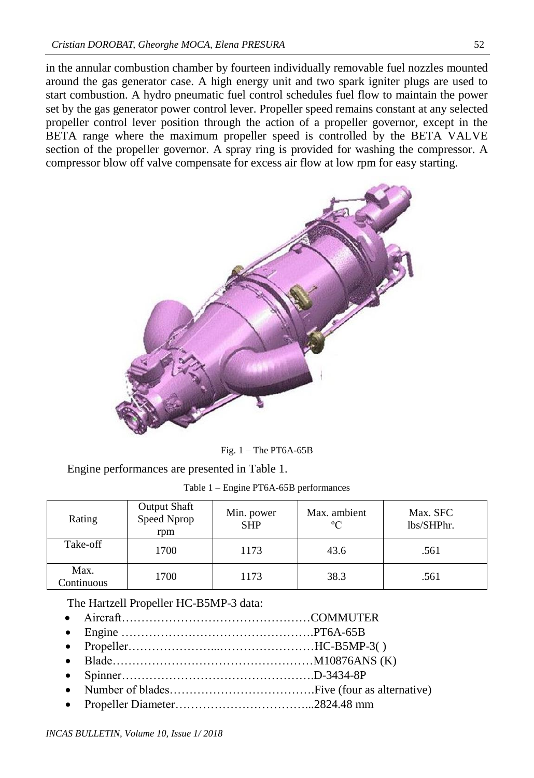in the annular combustion chamber by fourteen individually removable fuel nozzles mounted around the gas generator case. A high energy unit and two spark igniter plugs are used to start combustion. A hydro pneumatic fuel control schedules fuel flow to maintain the power set by the gas generator power control lever. Propeller speed remains constant at any selected propeller control lever position through the action of a propeller governor, except in the BETA range where the maximum propeller speed is controlled by the BETA VALVE section of the propeller governor. A spray ring is provided for washing the compressor. A compressor blow off valve compensate for excess air flow at low rpm for easy starting.



Fig. 1 – The PT6A-65B

Engine performances are presented in Table 1.

|  |  |  | Table 1 – Engine PT6A-65B performances |
|--|--|--|----------------------------------------|
|--|--|--|----------------------------------------|

| Rating             | <b>Output Shaft</b><br>Speed Nprop<br>rpm | Min. power<br><b>SHP</b> | Max. ambient<br>$\rm ^{o}C$ | Max. SFC<br>lbs/SHPhr. |
|--------------------|-------------------------------------------|--------------------------|-----------------------------|------------------------|
| Take-off           | 1700                                      | 1173                     | 43.6                        | .561                   |
| Max.<br>Continuous | 1700                                      | 1173                     | 38.3                        | .561                   |

The Hartzell Propeller HC-B5MP-3 data:

- Aircraft…………………………………………COMMUTER
- Engine ………………………………………….PT6A-65B
- Propeller…………………...……………………HC-B5MP-3( )
- Blade……………………………………………M10876ANS (K)
- Spinner………………………………………….D-3434-8P
- Number of blades……………………………….Five (four as alternative)
- Propeller Diameter……………………………...2824.48 mm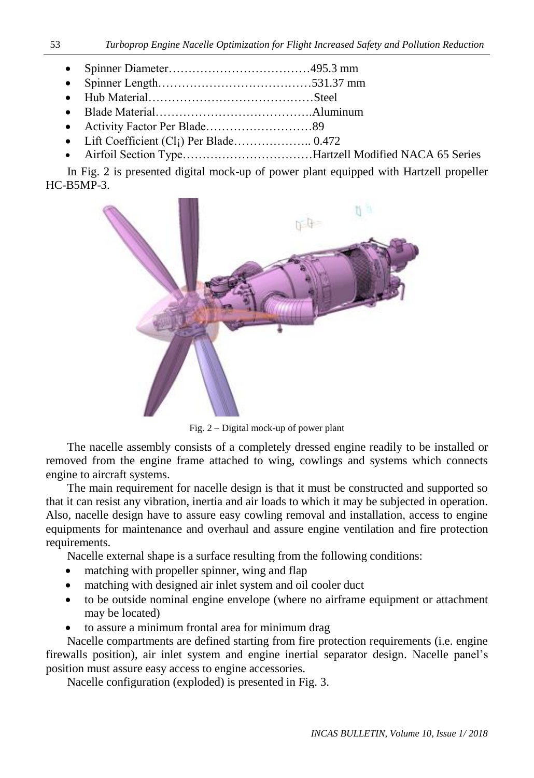- Spinner Diameter………………………………495.3 mm
- Spinner Length…………………………………531.37 mm
- Hub Material……………………………………Steel
- Blade Material………………………………….Aluminum
- Activity Factor Per Blade………………………89
- Lift Coefficient (Cl<sub>i</sub>) Per Blade……………….. 0.472
- Airfoil Section Type……………………………Hartzell Modified NACA 65 Series

In Fig. 2 is presented digital mock-up of power plant equipped with Hartzell propeller HC-B5MP-3.



Fig. 2 – Digital mock-up of power plant

The nacelle assembly consists of a completely dressed engine readily to be installed or removed from the engine frame attached to wing, cowlings and systems which connects engine to aircraft systems.

The main requirement for nacelle design is that it must be constructed and supported so that it can resist any vibration, inertia and air loads to which it may be subjected in operation. Also, nacelle design have to assure easy cowling removal and installation, access to engine equipments for maintenance and overhaul and assure engine ventilation and fire protection requirements.

Nacelle external shape is a surface resulting from the following conditions:

- matching with propeller spinner, wing and flap
- matching with designed air inlet system and oil cooler duct
- to be outside nominal engine envelope (where no airframe equipment or attachment may be located)
- to assure a minimum frontal area for minimum drag

Nacelle compartments are defined starting from fire protection requirements (i.e. engine firewalls position), air inlet system and engine inertial separator design. Nacelle panel's position must assure easy access to engine accessories.

Nacelle configuration (exploded) is presented in Fig. 3.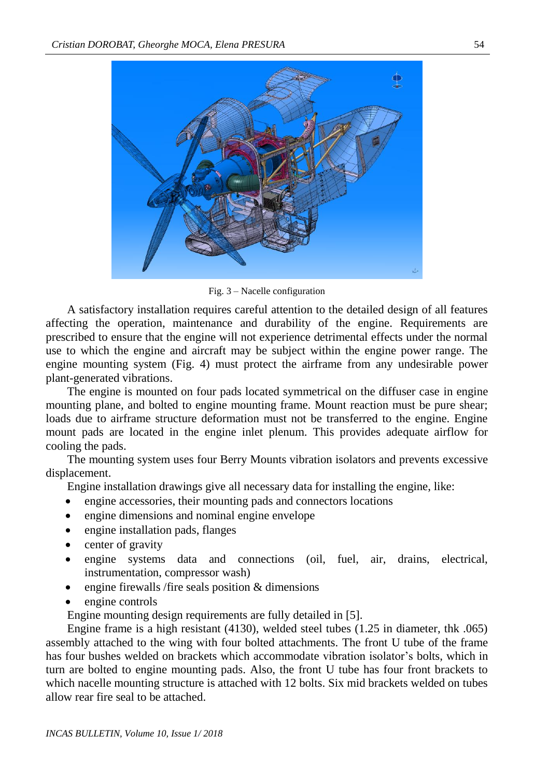

Fig. 3 – Nacelle configuration

A satisfactory installation requires careful attention to the detailed design of all features affecting the operation, maintenance and durability of the engine. Requirements are prescribed to ensure that the engine will not experience detrimental effects under the normal use to which the engine and aircraft may be subject within the engine power range. The engine mounting system (Fig. 4) must protect the airframe from any undesirable power plant-generated vibrations.

The engine is mounted on four pads located symmetrical on the diffuser case in engine mounting plane, and bolted to engine mounting frame. Mount reaction must be pure shear; loads due to airframe structure deformation must not be transferred to the engine. Engine mount pads are located in the engine inlet plenum. This provides adequate airflow for cooling the pads.

The mounting system uses four Berry Mounts vibration isolators and prevents excessive displacement.

Engine installation drawings give all necessary data for installing the engine, like:

- engine accessories, their mounting pads and connectors locations
- engine dimensions and nominal engine envelope
- engine installation pads, flanges
- center of gravity
- engine systems data and connections (oil, fuel, air, drains, electrical, instrumentation, compressor wash)
- engine firewalls /fire seals position & dimensions
- engine controls

Engine mounting design requirements are fully detailed in [5].

Engine frame is a high resistant (4130), welded steel tubes (1.25 in diameter, thk .065) assembly attached to the wing with four bolted attachments. The front U tube of the frame has four bushes welded on brackets which accommodate vibration isolator's bolts, which in turn are bolted to engine mounting pads. Also, the front U tube has four front brackets to which nacelle mounting structure is attached with 12 bolts. Six mid brackets welded on tubes allow rear fire seal to be attached.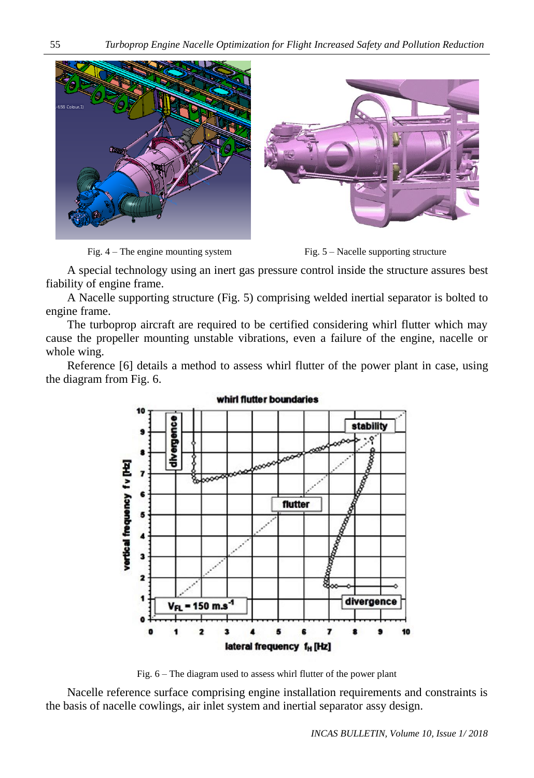



A special technology using an inert gas pressure control inside the structure assures best fiability of engine frame.

A Nacelle supporting structure (Fig. 5) comprising welded inertial separator is bolted to engine frame.

The turboprop aircraft are required to be certified considering whirl flutter which may cause the propeller mounting unstable vibrations, even a failure of the engine, nacelle or whole wing.

Reference [6] details a method to assess whirl flutter of the power plant in case, using the diagram from Fig. 6.

> divergence stability vertical frequency fv [Hz] 8<br>8 flutter  $\overline{\mathbf{a}}$  $\overline{\mathbf{z}}$ divergence  $V_{F1} = 150$  m.s  $\overline{\mathbf{2}}$ 3  $\blacktriangleleft$ 5 6 7 10  $\mathbf{a}$ R  $\bullet$ lateral frequency f<sub>H</sub> [Hz]

whirl flutter boundaries

Fig. 6 – The diagram used to assess whirl flutter of the power plant

Nacelle reference surface comprising engine installation requirements and constraints is the basis of nacelle cowlings, air inlet system and inertial separator assy design.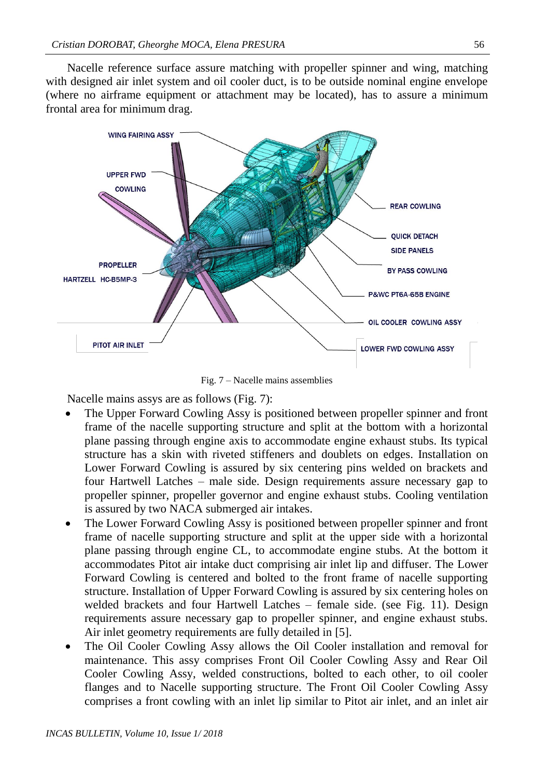Nacelle reference surface assure matching with propeller spinner and wing, matching with designed air inlet system and oil cooler duct, is to be outside nominal engine envelope (where no airframe equipment or attachment may be located), has to assure a minimum frontal area for minimum drag.



Fig. 7 – Nacelle mains assemblies

Nacelle mains assys are as follows (Fig. 7):

- The Upper Forward Cowling Assy is positioned between propeller spinner and front frame of the nacelle supporting structure and split at the bottom with a horizontal plane passing through engine axis to accommodate engine exhaust stubs. Its typical structure has a skin with riveted stiffeners and doublets on edges. Installation on Lower Forward Cowling is assured by six centering pins welded on brackets and four Hartwell Latches – male side. Design requirements assure necessary gap to propeller spinner, propeller governor and engine exhaust stubs. Cooling ventilation is assured by two NACA submerged air intakes.
- The Lower Forward Cowling Assy is positioned between propeller spinner and front frame of nacelle supporting structure and split at the upper side with a horizontal plane passing through engine CL, to accommodate engine stubs. At the bottom it accommodates Pitot air intake duct comprising air inlet lip and diffuser. The Lower Forward Cowling is centered and bolted to the front frame of nacelle supporting structure. Installation of Upper Forward Cowling is assured by six centering holes on welded brackets and four Hartwell Latches – female side. (see Fig. 11). Design requirements assure necessary gap to propeller spinner, and engine exhaust stubs. Air inlet geometry requirements are fully detailed in [5].
- The Oil Cooler Cowling Assy allows the Oil Cooler installation and removal for maintenance. This assy comprises Front Oil Cooler Cowling Assy and Rear Oil Cooler Cowling Assy, welded constructions, bolted to each other, to oil cooler flanges and to Nacelle supporting structure. The Front Oil Cooler Cowling Assy comprises a front cowling with an inlet lip similar to Pitot air inlet, and an inlet air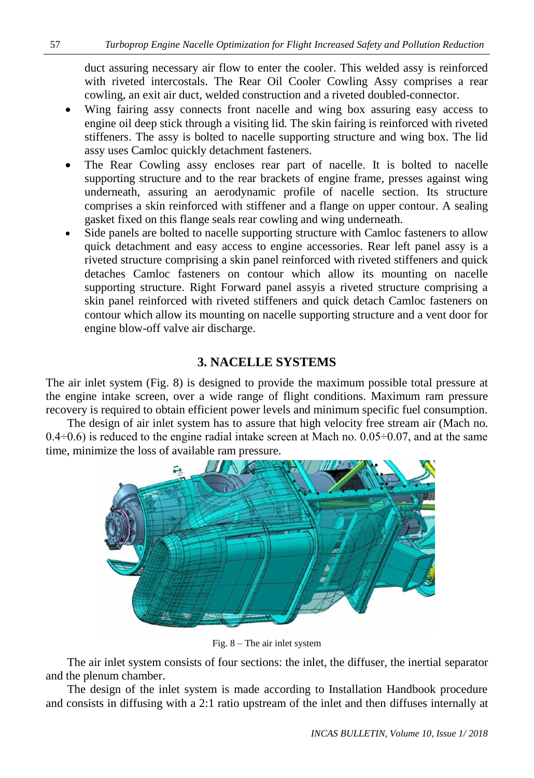duct assuring necessary air flow to enter the cooler. This welded assy is reinforced with riveted intercostals. The Rear Oil Cooler Cowling Assy comprises a rear cowling, an exit air duct, welded construction and a riveted doubled-connector.

- Wing fairing assy connects front nacelle and wing box assuring easy access to engine oil deep stick through a visiting lid. The skin fairing is reinforced with riveted stiffeners. The assy is bolted to nacelle supporting structure and wing box. The lid assy uses Camloc quickly detachment fasteners.
- The Rear Cowling assy encloses rear part of nacelle. It is bolted to nacelle supporting structure and to the rear brackets of engine frame, presses against wing underneath, assuring an aerodynamic profile of nacelle section. Its structure comprises a skin reinforced with stiffener and a flange on upper contour. A sealing gasket fixed on this flange seals rear cowling and wing underneath.
- Side panels are bolted to nacelle supporting structure with Camloc fasteners to allow quick detachment and easy access to engine accessories. Rear left panel assy is a riveted structure comprising a skin panel reinforced with riveted stiffeners and quick detaches Camloc fasteners on contour which allow its mounting on nacelle supporting structure. Right Forward panel assyis a riveted structure comprising a skin panel reinforced with riveted stiffeners and quick detach Camloc fasteners on contour which allow its mounting on nacelle supporting structure and a vent door for engine blow-off valve air discharge.

# **3. NACELLE SYSTEMS**

The air inlet system (Fig. 8) is designed to provide the maximum possible total pressure at the engine intake screen, over a wide range of flight conditions. Maximum ram pressure recovery is required to obtain efficient power levels and minimum specific fuel consumption.

The design of air inlet system has to assure that high velocity free stream air (Mach no.  $0.4\div 0.6$ ) is reduced to the engine radial intake screen at Mach no.  $0.05\div 0.07$ , and at the same time, minimize the loss of available ram pressure.



Fig. 8 – The air inlet system

The air inlet system consists of four sections: the inlet, the diffuser, the inertial separator and the plenum chamber.

The design of the inlet system is made according to Installation Handbook procedure and consists in diffusing with a 2:1 ratio upstream of the inlet and then diffuses internally at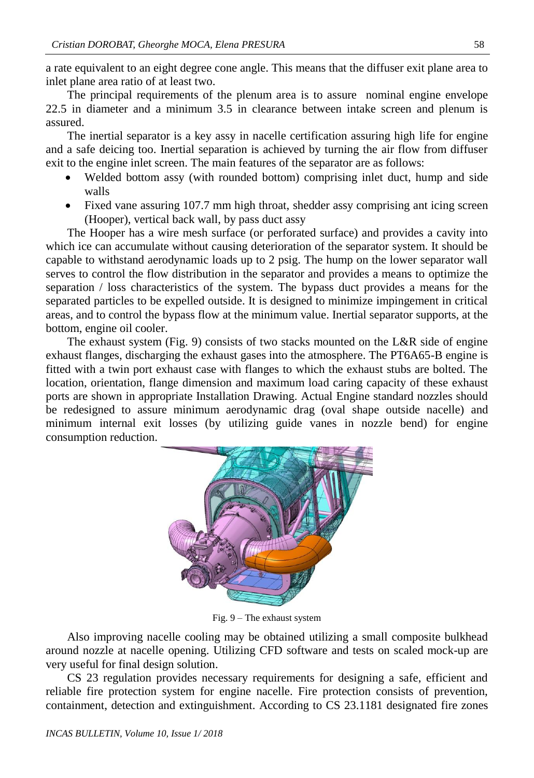a rate equivalent to an eight degree cone angle. This means that the diffuser exit plane area to inlet plane area ratio of at least two.

The principal requirements of the plenum area is to assure nominal engine envelope 22.5 in diameter and a minimum 3.5 in clearance between intake screen and plenum is assured.

The inertial separator is a key assy in nacelle certification assuring high life for engine and a safe deicing too. Inertial separation is achieved by turning the air flow from diffuser exit to the engine inlet screen. The main features of the separator are as follows:

- Welded bottom assy (with rounded bottom) comprising inlet duct, hump and side walls
- Fixed vane assuring 107.7 mm high throat, shedder assy comprising ant icing screen (Hooper), vertical back wall, by pass duct assy

The Hooper has a wire mesh surface (or perforated surface) and provides a cavity into which ice can accumulate without causing deterioration of the separator system. It should be capable to withstand aerodynamic loads up to 2 psig. The hump on the lower separator wall serves to control the flow distribution in the separator and provides a means to optimize the separation / loss characteristics of the system. The bypass duct provides a means for the separated particles to be expelled outside. It is designed to minimize impingement in critical areas, and to control the bypass flow at the minimum value. Inertial separator supports, at the bottom, engine oil cooler.

The exhaust system (Fig. 9) consists of two stacks mounted on the L&R side of engine exhaust flanges, discharging the exhaust gases into the atmosphere. The PT6A65-B engine is fitted with a twin port exhaust case with flanges to which the exhaust stubs are bolted. The location, orientation, flange dimension and maximum load caring capacity of these exhaust ports are shown in appropriate Installation Drawing. Actual Engine standard nozzles should be redesigned to assure minimum aerodynamic drag (oval shape outside nacelle) and minimum internal exit losses (by utilizing guide vanes in nozzle bend) for engine consumption reduction.



Fig. 9 – The exhaust system

Also improving nacelle cooling may be obtained utilizing a small composite bulkhead around nozzle at nacelle opening. Utilizing CFD software and tests on scaled mock-up are very useful for final design solution.

CS 23 regulation provides necessary requirements for designing a safe, efficient and reliable fire protection system for engine nacelle. Fire protection consists of prevention, containment, detection and extinguishment. According to CS 23.1181 designated fire zones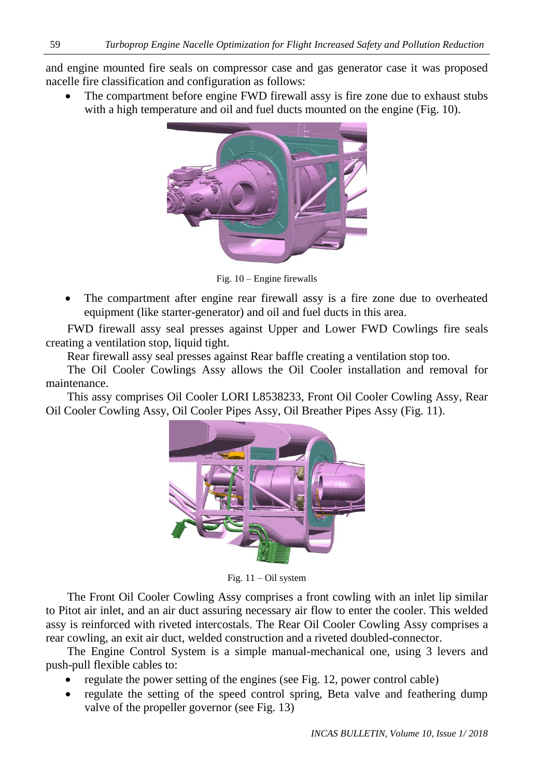and engine mounted fire seals on compressor case and gas generator case it was proposed nacelle fire classification and configuration as follows:

 The compartment before engine FWD firewall assy is fire zone due to exhaust stubs with a high temperature and oil and fuel ducts mounted on the engine (Fig. 10).



Fig. 10 – Engine firewalls

 The compartment after engine rear firewall assy is a fire zone due to overheated equipment (like starter-generator) and oil and fuel ducts in this area.

FWD firewall assy seal presses against Upper and Lower FWD Cowlings fire seals creating a ventilation stop, liquid tight.

Rear firewall assy seal presses against Rear baffle creating a ventilation stop too.

The Oil Cooler Cowlings Assy allows the Oil Cooler installation and removal for maintenance.

This assy comprises Oil Cooler LORI L8538233, Front Oil Cooler Cowling Assy, Rear Oil Cooler Cowling Assy, Oil Cooler Pipes Assy, Oil Breather Pipes Assy (Fig. 11).



Fig. 11 – Oil system

The Front Oil Cooler Cowling Assy comprises a front cowling with an inlet lip similar to Pitot air inlet, and an air duct assuring necessary air flow to enter the cooler. This welded assy is reinforced with riveted intercostals. The Rear Oil Cooler Cowling Assy comprises a rear cowling, an exit air duct, welded construction and a riveted doubled-connector.

The Engine Control System is a simple manual-mechanical one, using 3 levers and push-pull flexible cables to:

- regulate the power setting of the engines (see Fig. 12, power control cable)
- regulate the setting of the speed control spring, Beta valve and feathering dump valve of the propeller governor (see Fig. 13)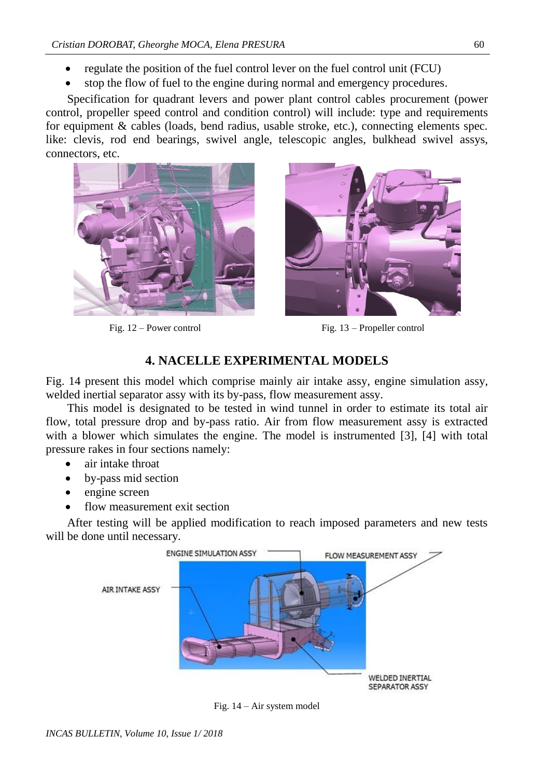- regulate the position of the fuel control lever on the fuel control unit (FCU)
- stop the flow of fuel to the engine during normal and emergency procedures.

Specification for quadrant levers and power plant control cables procurement (power control, propeller speed control and condition control) will include: type and requirements for equipment & cables (loads, bend radius, usable stroke, etc.), connecting elements spec. like: clevis, rod end bearings, swivel angle, telescopic angles, bulkhead swivel assys, connectors, etc.





Fig. 12 – Power control Fig. 13 – Propeller control

#### **4. NACELLE EXPERIMENTAL MODELS**

Fig. 14 present this model which comprise mainly air intake assy, engine simulation assy, welded inertial separator assy with its by-pass, flow measurement assy.

This model is designated to be tested in wind tunnel in order to estimate its total air flow, total pressure drop and by-pass ratio. Air from flow measurement assy is extracted with a blower which simulates the engine. The model is instrumented [3], [4] with total pressure rakes in four sections namely:

- air intake throat
- by-pass mid section
- engine screen
- flow measurement exit section

After testing will be applied modification to reach imposed parameters and new tests will be done until necessary.



Fig. 14 – Air system model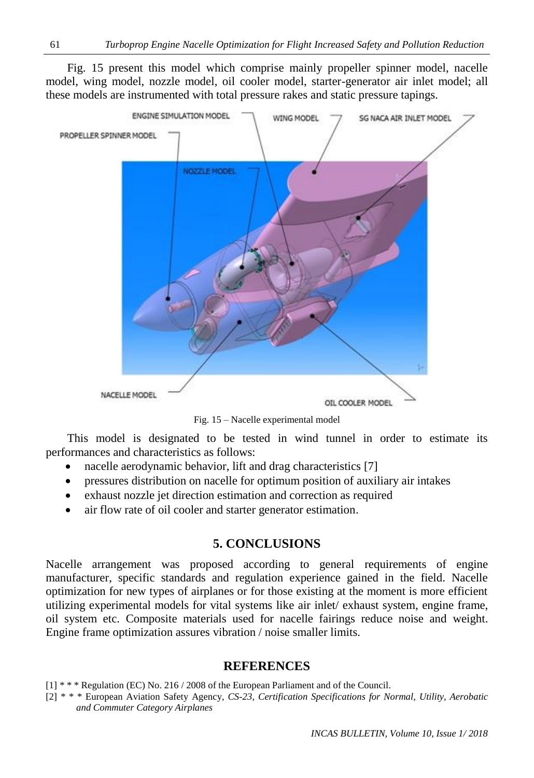Fig. 15 present this model which comprise mainly propeller spinner model, nacelle model, wing model, nozzle model, oil cooler model, starter-generator air inlet model; all these models are instrumented with total pressure rakes and static pressure tapings.



Fig. 15 – Nacelle experimental model

This model is designated to be tested in wind tunnel in order to estimate its performances and characteristics as follows:

- nacelle aerodynamic behavior, lift and drag characteristics [7]
- pressures distribution on nacelle for optimum position of auxiliary air intakes
- exhaust nozzle jet direction estimation and correction as required
- air flow rate of oil cooler and starter generator estimation.

#### **5. CONCLUSIONS**

Nacelle arrangement was proposed according to general requirements of engine manufacturer, specific standards and regulation experience gained in the field. Nacelle optimization for new types of airplanes or for those existing at the moment is more efficient utilizing experimental models for vital systems like air inlet/ exhaust system, engine frame, oil system etc. Composite materials used for nacelle fairings reduce noise and weight. Engine frame optimization assures vibration / noise smaller limits.

#### **REFERENCES**

- [1] \* \* \* Regulation (EC) No. 216 / 2008 of the European Parliament and of the Council.
- [2] \* \* \* European Aviation Safety Agency, *CS-23, Certification Specifications for Normal, Utility, Aerobatic and Commuter Category Airplanes*